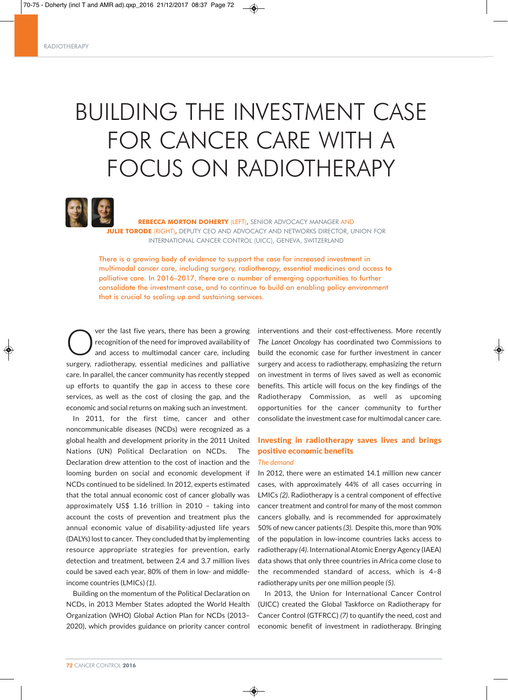# BUILDING THE INVESTMENT CASE FOR CANCER CARE WITH A FOCUS ON RADIOTHERAPY

◈



**REBECCA MORTON DOHERTY** (LEFT)**,** SENIOR ADVOCACY MANAGER AND **JULIE TORODE** (RIGHT)**,** DEPUTY CEO AND ADVOCACY AND NETWORKS DIRECTOR, UNION FOR INTERNATIONAL CANCER CONTROL (UICC), GENEVA, SWITZERLAND

There is a growing body of evidence to support the case for increased investment in multimodal cancer care, including surgery, radiotherapy, essential medicines and access to palliative care. In 2016–2017, there are a number of emerging opportunities to further consolidate the investment case, and to continue to build an enabling policy environment that is crucial to scaling up and sustaining services.

**OVERTUAN COVER 19 SET AS VERTILED THE VERTILE STARK CONTROVED AND AREAD TO A SET AND AREAD STARK AND STARK AND STARK CONTROLLED AND AREAD STARK AND STARK AND STARK AND STARK AND STARK AND STARK AND STARK AND STARK AND STA** recognition of the need for improved availability of surgery, radiotherapy, essential medicines and palliative care. In parallel, the cancer community has recently stepped up efforts to quantify the gap in access to these core services, as well as the cost of closing the gap, and the economic and social returns on making such an investment.

In 2011, for the first time, cancer and other noncommunicable diseases (NCDs) were recognized as a global health and development priority in the 2011 United Nations (UN) Political Declaration on NCDs. The Declaration drew attention to the cost of inaction and the looming burden on social and economic development if NCDs continued to be sidelined. In 2012, experts estimated that the total annual economic cost of cancer globally was approximately US\$ 1.16 trillion in 2010 – taking into account the costs of prevention and treatment plus the annual economic value of disability-adjusted life years (DALYs) lost to cancer. They concluded that by implementing resource appropriate strategies for prevention, early detection and treatment, between 2.4 and 3.7 million lives could be saved each year, 80% of them in low- and middleincome countries (LMICs) *(1)*.

Building on the momentum of the Political Declaration on NCDs, in 2013 Member States adopted the World Health Organization (WHO) Global Action Plan for NCDs (2013– 2020), which provides guidance on priority cancer control interventions and their cost-effectiveness. More recently *The Lancet Oncology* has coordinated two Commissions to build the economic case for further investment in cancer surgery and access to radiotherapy, emphasizing the return on investment in terms of lives saved as well as economic benefits. This article will focus on the key findings of the Radiotherapy Commission, as well as upcoming opportunities for the cancer community to further consolidate the investment case for multimodal cancer care.

## Investing in radiotherapy saves lives and brings positive economic benefits

## *The demand*

In 2012, there were an estimated 14.1 million new cancer cases, with approximately 44% of all cases occurring in LMICs *(2)*. Radiotherapy is a central component of effective cancer treatment and control for many of the most common cancers globally, and is recommended for approximately 50% of new cancer patients *(3)*. Despite this, more than 90% of the population in low-income countries lacks access to radiotherapy (4). International Atomic Energy Agency (IAEA) data shows that only three countries in Africa come close to the recommended standard of access, which is 4–8 radiotherapy units per one million people *(5)*.

In 2013, the Union for International Cancer Control (UICC) created the Global Taskforce on Radiotherapy for Cancer Control (GTFRCC) *(7)* to quantify the need, cost and economic benefit of investment in radiotherapy. Bringing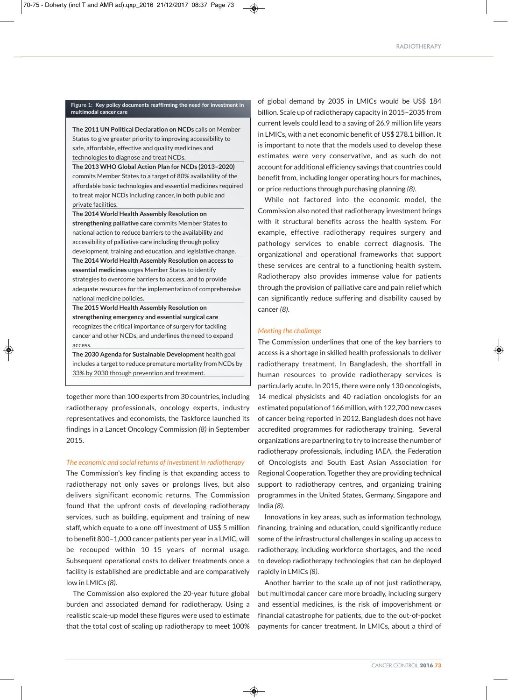#### **Figure 1: Key policy documents reaffirming the need for investment in multimodal cancer care**

**The 2011 UN Political Declaration on NCDs** calls on Member States to give greater priority to improving accessibility to safe, affordable, effective and quality medicines and technologies to diagnose and treat NCDs.

**The 2013 WHO Global Action Plan for NCDs (2013–2020)** commits Member States to a target of 80% availability of the affordable basic technologies and essential medicines required to treat major NCDs including cancer, in both public and private facilities.

**The 2014 World Health Assembly Resolution on strengthening palliative care** commits Member States to national action to reduce barriers to the availability and accessibility of palliative care including through policy development, training and education, and legislative change. **The 2014 World Health Assembly Resolution on access to essential medicines** urges Member States to identify strategies to overcome barriers to access, and to provide adequate resources for the implementation of comprehensive national medicine policies.

**The 2015 World Health Assembly Resolution on strengthening emergency and essential surgical care** recognizes the critical importance of surgery for tackling cancer and other NCDs, and underlines the need to expand access.

**The 2030 Agenda for Sustainable Development** health goal includes a target to reduce premature mortality from NCDs by 33% by 2030 through prevention and treatment.

together more than 100 experts from 30 countries, including radiotherapy professionals, oncology experts, industry representatives and economists, the Taskforce launched its findings in a Lancet Oncology Commission *(8)* in September 2015.

#### *The economic and social returns of investment in radiotherapy*

The Commission's key finding is that expanding access to radiotherapy not only saves or prolongs lives, but also delivers significant economic returns. The Commission found that the upfront costs of developing radiotherapy services, such as building, equipment and training of new staff, which equate to a one-off investment of US\$ 5 million to benefit 800–1,000 cancer patients per year in a LMIC, will be recouped within 10–15 years of normal usage. Subsequent operational costs to deliver treatments once a facility is established are predictable and are comparatively low in LMICs *(8)*.

The Commission also explored the 20-year future global burden and associated demand for radiotherapy. Using a realistic scale-up model these figures were used to estimate that the total cost of scaling up radiotherapy to meet 100% of global demand by 2035 in LMICs would be US\$ 184 billion. Scale up of radiotherapy capacity in 2015–2035 from current levels could lead to a saving of 26.9 million life years in LMICs, with a net economic benefit of US\$ 278.1 billion. It is important to note that the models used to develop these estimates were very conservative, and as such do not account for additional efficiency savings that countries could benefit from, including longer operating hours for machines, or price reductions through purchasing planning *(8)*.

While not factored into the economic model, the Commission also noted that radiotherapy investment brings with it structural benefits across the health system. For example, effective radiotherapy requires surgery and pathology services to enable correct diagnosis. The organizational and operational frameworks that support these services are central to a functioning health system. Radiotherapy also provides immense value for patients through the provision of palliative care and pain relief which can significantly reduce suffering and disability caused by cancer *(8)*.

### *Meeting the challenge*

◈

◈

The Commission underlines that one of the key barriers to access is a shortage in skilled health professionals to deliver radiotherapy treatment. In Bangladesh, the shortfall in human resources to provide radiotherapy services is particularly acute. In 2015, there were only 130 oncologists, 14 medical physicists and 40 radiation oncologists for an estimated population of 166 million, with 122,700 new cases of cancer being reported in 2012. Bangladesh does not have accredited programmes for radiotherapy training. Several organizations are partnering to try to increase the number of radiotherapy professionals, including IAEA, the Federation of Oncologists and South East Asian Association for Regional Cooperation. Together they are providing technical support to radiotherapy centres, and organizing training programmes in the United States, Germany, Singapore and India *(8)*.

Innovations in key areas, such as information technology, financing, training and education, could significantly reduce some of the infrastructural challenges in scaling up access to radiotherapy, including workforce shortages, and the need to develop radiotherapy technologies that can be deployed rapidly in LMICs *(8)*.

Another barrier to the scale up of not just radiotherapy, but multimodal cancer care more broadly, including surgery and essential medicines, is the risk of impoverishment or financial catastrophe for patients, due to the out-of-pocket payments for cancer treatment. In LMICs, about a third of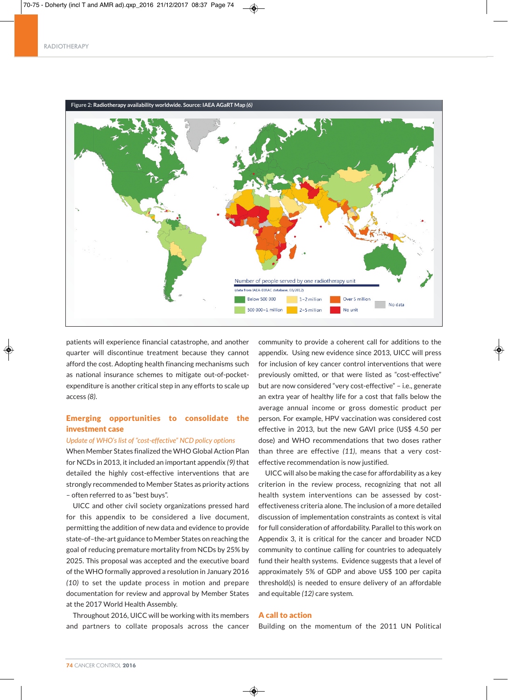#### RADIOTHERAPY



◈

patients will experience financial catastrophe, and another quarter will discontinue treatment because they cannot afford the cost. Adopting health financing mechanisms such as national insurance schemes to mitigate out-of-pocketexpenditure is another critical step in any efforts to scale up access *(8)*.

## Emerging opportunities to consolidate the investment case

### *Update of WHO's list of "cost-effective" NCD policy options*

When Member States finalized the WHO Global Action Plan for NCDs in 2013, it included an important appendix *(9)* that detailed the highly cost-effective interventions that are strongly recommended to Member States as priority actions – often referred to as "best buys".

UICC and other civil society organizations pressed hard for this appendix to be considered a live document, permitting the addition of new data and evidence to provide state-of–the-art guidance to Member States on reaching the goal of reducing premature mortality from NCDs by 25% by 2025. This proposal was accepted and the executive board of the WHO formally approved a resolution in January 2016 *(10)* to set the update process in motion and prepare documentation for review and approval by Member States at the 2017 World Health Assembly.

Throughout 2016, UICC will be working with its members and partners to collate proposals across the cancer

community to provide a coherent call for additions to the appendix. Using new evidence since 2013, UICC will press for inclusion of key cancer control interventions that were previously omitted, or that were listed as "cost-effective" but are now considered "very cost-effective" – i.e., generate an extra year of healthy life for a cost that falls below the average annual income or gross domestic product per person. For example, HPV vaccination was considered cost effective in 2013, but the new GAVI price (US\$ 4.50 per dose) and WHO recommendations that two doses rather than three are effective *(11)*, means that a very costeffective recommendation is now justified.

UICC will also be making the case for affordability as a key criterion in the review process, recognizing that not all health system interventions can be assessed by costeffectiveness criteria alone. The inclusion of a more detailed discussion of implementation constraints as context is vital for full consideration of affordability. Parallel to this work on Appendix 3, it is critical for the cancer and broader NCD community to continue calling for countries to adequately fund their health systems. Evidence suggests that a level of approximately 5% of GDP and above US\$ 100 per capita threshold(s) is needed to ensure delivery of an affordable and equitable *(12)* care system.

## A call to action

Building on the momentum of the 2011 UN Political